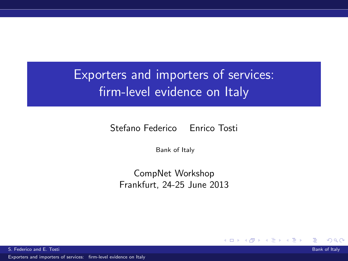### Exporters and importers of services: firm-level evidence on Italy

Stefano Federico Enrico Tosti

Bank of Italy

CompNet Workshop Frankfurt, 24-25 June 2013

4 0 8

<span id="page-0-0"></span> $\Omega$ 

S. Federico and E. Tosti Bank of Italy and Bank of Italy and Bank of Italy and Bank of Italy and Bank of Italy

[Exporters and importers of services: firm-level evidence on Italy](#page-25-0)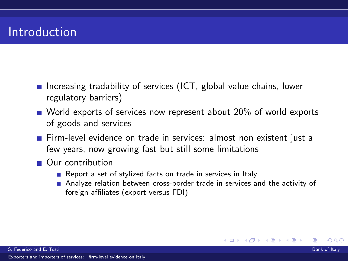### Introduction

- Increasing tradability of services (ICT, global value chains, lower regulatory barriers)
- World exports of services now represent about  $20\%$  of world exports of goods and services
- Firm-level evidence on trade in services: almost non existent just a few years, now growing fast but still some limitations
- Our contribution
	- Report a set of stylized facts on trade in services in Italy
	- Analyze relation between cross-border trade in services and the activity of foreign affiliates (export versus FDI)

◂**◻▸ ◂<del>ਗ਼</del>▸** 

つひつ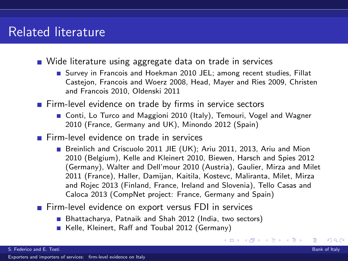### Related literature

- Wide literature using aggregate data on trade in services
	- **Survey in Francois and Hoekman 2010 JEL: among recent studies. Fillat** Castejon, Francois and Woerz 2008, Head, Mayer and Ries 2009, Christen and Francois 2010, Oldenski 2011
- **Firm-level evidence on trade by firms in service sectors** 
	- Conti, Lo Turco and Maggioni 2010 (Italy), Temouri, Vogel and Wagner 2010 (France, Germany and UK), Minondo 2012 (Spain)
- Firm-level evidence on trade in services
	- Breinlich and Criscuolo 2011 JIE (UK); Ariu 2011, 2013, Ariu and Mion 2010 (Belgium), Kelle and Kleinert 2010, Biewen, Harsch and Spies 2012 (Germany), Walter and Dell'mour 2010 (Austria), Gaulier, Mirza and Milet 2011 (France), Haller, Damijan, Kaitila, Kostevc, Maliranta, Milet, Mirza and Rojec 2013 (Finland, France, Ireland and Slovenia), Tello Casas and Caloca 2013 (CompNet project: France, Germany and Spain)
- Firm-level evidence on export versus FDI in services
	- Bhattacharya, Patnaik and Shah 2012 (India, two sectors)
	- Kelle, Kleinert, Raff and Toubal 2012 (Germany)

つひつ

イロト イ母ト イヨト イヨト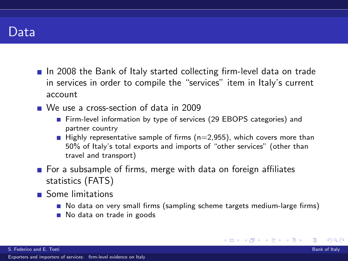

- In 2008 the Bank of Italy started collecting firm-level data on trade in services in order to compile the "services" item in Italy's current account
- We use a cross-section of data in 2009
	- Firm-level information by type of services (29 EBOPS categories) and partner country
	- **Highly representative sample of firms (n=2,955), which covers more than** 50% of Italy's total exports and imports of "other services" (other than travel and transport)
- **For a subsample of firms, merge with data on foreign affiliates** statistics (FATS)
- Some limitations
	- No data on very small firms (sampling scheme targets medium-large firms)

イロト イ母 トイヨ トイヨト

つひつ

No data on trade in goods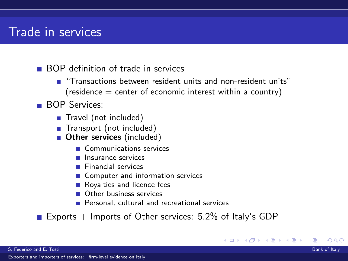### Trade in services

- **BOP** definition of trade in services
	- "Transactions between resident units and non-resident units"  $(residence = center of economic interest within a country)$
- **BOP** Services:
	- Travel (not included)
	- Transport (not included)
	- **Other services** (included)
		- Communications services
		- **Insurance services**
		- **Financial services**
		- **■** Computer and information services
		- Royalties and licence fees
		- **Other business services**
		- **Personal, cultural and recreational services**
- Exports  $+$  Imports of Other services: 5.2% of Italy's GDP

4 0 8

つひつ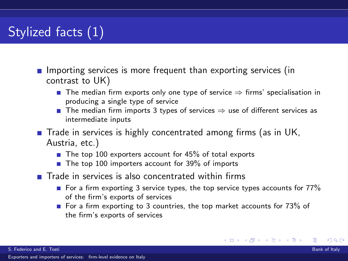### Stylized facts (1)

- **Importing services is more frequent than exporting services (in** contrast to UK)
	- **■** The median firm exports only one type of service  $\Rightarrow$  firms' specialisation in producing a single type of service
	- **■** The median firm imports 3 types of services  $\Rightarrow$  use of different services as intermediate inputs
- Trade in services is highly concentrated among firms (as in UK, Austria, etc.)
	- $\blacksquare$  The top 100 exporters account for 45% of total exports
	- The top 100 importers account for 39% of imports
- Trade in services is also concentrated within firms
	- For a firm exporting 3 service types, the top service types accounts for  $77\%$ of the firm's exports of services
	- For a firm exporting to 3 countries, the top market accounts for  $73\%$  of the firm's exports of services

つひつ

イロト イ母 トイヨ トイヨト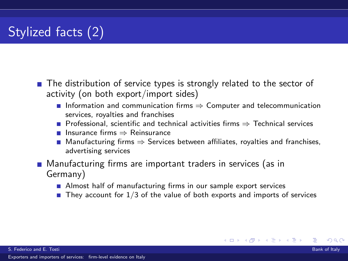### Stylized facts (2)

- The distribution of service types is strongly related to the sector of activity (on both export/import sides)
	- **■** Information and communication firms  $\Rightarrow$  Computer and telecommunication services, royalties and franchises
	- **Professional, scientific and technical activities firms**  $\Rightarrow$  **Technical services**
	- Insurance firms ⇒ Reinsurance
	- Manufacturing firms  $\Rightarrow$  Services between affiliates, royalties and franchises, advertising services
- **Manufacturing firms are important traders in services (as in** Germany)
	- Almost half of manufacturing firms in our sample export services
	- **They account for 1/3 of the value of both exports and imports of services**

つひへ

イロト イ母 トイヨ トイヨト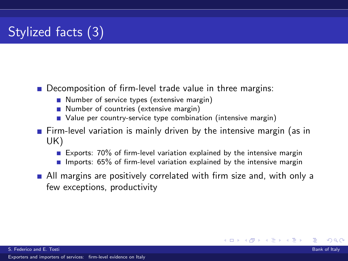### Stylized facts (3)

- Decomposition of firm-level trade value in three margins:
	- Number of service types (extensive margin)
	- Number of countries (extensive margin)
	- Value per country-service type combination (intensive margin)
- $\blacksquare$  Firm-level variation is mainly driven by the intensive margin (as in UK)
	- Exports: 70% of firm-level variation explained by the intensive margin
	- **Imports: 65% of firm-level variation explained by the intensive margin**
- **All margins are positively correlated with firm size and, with only a** few exceptions, productivity

◂**◻▸ ◂<del>ਗ਼</del>▸** 

つひへ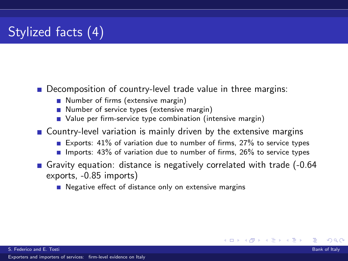### Stylized facts (4)

#### Decomposition of country-level trade value in three margins:

- Number of firms (extensive margin)
- Number of service types (extensive margin)
- Value per firm-service type combination (intensive margin)
- Country-level variation is mainly driven by the extensive margins
	- Exports: 41% of variation due to number of firms, 27% to service types
	- Imports:  $43\%$  of variation due to number of firms,  $26\%$  to service types

- Gravity equation: distance is negatively correlated with trade (-0.64) exports, -0.85 imports)
	- $\blacksquare$  Negative effect of distance only on extensive margins

つひへ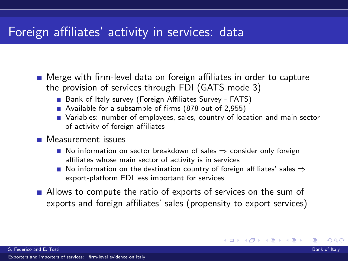### Foreign affiliates' activity in services: data

- Merge with firm-level data on foreign affiliates in order to capture the provision of services through FDI (GATS mode 3)
	- Bank of Italy survey (Foreign Affiliates Survey FATS)
	- Available for a subsample of firms (878 out of 2,955)
	- Variables: number of employees, sales, country of location and main sector of activity of foreign affiliates
- **Measurement** issues
	- No information on sector breakdown of sales  $\Rightarrow$  consider only foreign affiliates whose main sector of activity is in services
	- No information on the destination country of foreign affiliates' sales  $\Rightarrow$ export-platform FDI less important for services
- Allows to compute the ratio of exports of services on the sum of exports and foreign affiliates' sales (propensity to export services)

つひへ

イロト イ母ト イヨト イヨト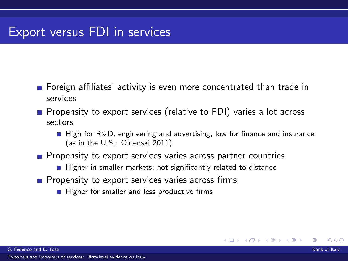### Export versus FDI in services

- **F** Foreign affiliates' activity is even more concentrated than trade in services
- **Propensity to export services (relative to FDI) varies a lot across** sectors
	- **High for R&D, engineering and advertising, low for finance and insurance** (as in the U.S.: Oldenski 2011)

4 0 8

つひつ

- $\blacksquare$  Propensity to export services varies across partner countries
	- $\blacksquare$  Higher in smaller markets; not significantly related to distance
- $\blacksquare$  Propensity to export services varies across firms
	- $\blacksquare$  Higher for smaller and less productive firms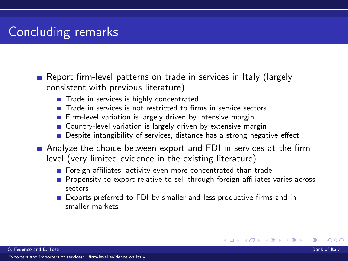### Concluding remarks

Report firm-level patterns on trade in services in Italy (largely consistent with previous literature)

- Trade in services is highly concentrated
- $\blacksquare$  Trade in services is not restricted to firms in service sectors
- Firm-level variation is largely driven by intensive margin
- Country-level variation is largely driven by extensive margin
- Despite intangibility of services, distance has a strong negative effect
- Analyze the choice between export and FDI in services at the firm level (very limited evidence in the existing literature)
	- Foreign affiliates' activity even more concentrated than trade
	- **Propensity to export relative to sell through foreign affiliates varies across** sectors

つひへ

**Exports preferred to FDI by smaller and less productive firms and in** smaller markets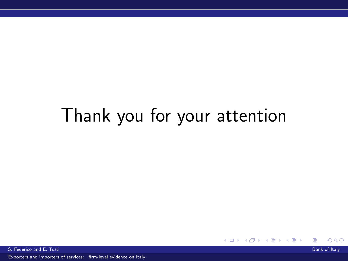# Thank you for your attention

 $QQ$ イロト イ母ト イヨト イヨト

S. Federico and E. Tosti Bank of Italy and Bank of Italy and Bank of Italy and Bank of Italy and Bank of Italy

[Exporters and importers of services: firm-level evidence on Italy](#page-0-0)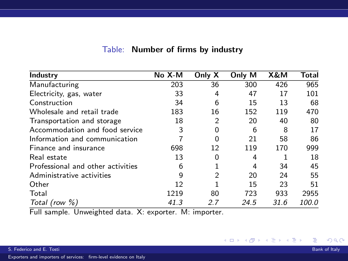| Industry                          | $No X-M$ | Only X         | Only M | X&M  | Total |
|-----------------------------------|----------|----------------|--------|------|-------|
| Manufacturing                     | 203      | 36             | 300    | 426  | 965   |
| Electricity, gas, water           | 33       | 4              | 47     | 17   | 101   |
| Construction                      | 34       | 6              | 15     | 13   | 68    |
| Wholesale and retail trade        | 183      | 16             | 152    | 119  | 470   |
| Transportation and storage        | 18       | $\overline{2}$ | 20     | 40   | 80    |
| Accommodation and food service    | 3        | 0              | 6      | 8    | 17    |
| Information and communication     |          | 0              | 21     | 58   | 86    |
| Finance and insurance             | 698      | 12             | 119    | 170  | 999   |
| Real estate                       | 13       | 0              | 4      |      | 18    |
| Professional and other activities | 6        | 1              | 4      | 34   | 45    |
| Administrative activities         | 9        | $\overline{2}$ | 20     | 24   | 55    |
| Other                             | 12       |                | 15     | 23   | 51    |
| Total                             | 1219     | 80             | 723    | 933  | 2955  |
| Total (row $\%$ )                 | 41.3     | 2.7            | 24.5   | 31.6 | 100.0 |

#### Table: Number of firms by industry

Full sample. Unweighted data. X: exporter. M: importer.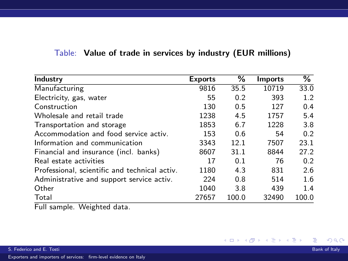|  |  |  |  |  |  |  | $\mathsf{Table}\colon$ Value of trade in services by industry (EUR millions) |  |  |  |
|--|--|--|--|--|--|--|------------------------------------------------------------------------------|--|--|--|
|--|--|--|--|--|--|--|------------------------------------------------------------------------------|--|--|--|

| Industry                                      | <b>Exports</b> | %     | <b>Imports</b> | $\overline{\%}$ |
|-----------------------------------------------|----------------|-------|----------------|-----------------|
| Manufacturing                                 | 9816           | 35.5  | 10719          | 33.0            |
| Electricity, gas, water                       | 55             | 0.2   | 393            | 1.2             |
| Construction                                  | 130            | 0.5   | 127            | 0.4             |
| Wholesale and retail trade                    | 1238           | 4.5   | 1757           | 5.4             |
| Transportation and storage                    | 1853           | 6.7   | 1228           | 3.8             |
| Accommodation and food service activ.         | 153            | 0.6   | 54             | 0.2             |
| Information and communication                 | 3343           | 12.1  | 7507           | 23.1            |
| Financial and insurance (incl. banks)         | 8607           | 31.1  | 8844           | 27.2            |
| Real estate activities                        | 17             | 0.1   | 76             | 0.2             |
| Professional, scientific and technical activ. | 1180           | 4.3   | 831            | 2.6             |
| Administrative and support service activ.     | 224            | 0.8   | 514            | 1.6             |
| Other                                         | 1040           | 3.8   | 439            | 1.4             |
| Total                                         | 27657          | 100.0 | 32490          | 100.0           |
| $ -$<br>141 * 1 . 1 1 .                       |                |       |                |                 |

Full sample. Weighted data.

メロトメ 御 トメ 君 トメ 君 トッ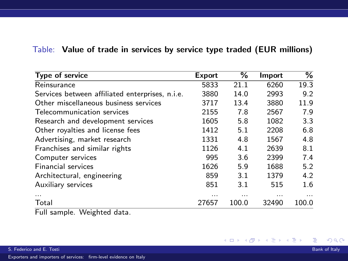#### Table: Value of trade in services by service type traded (EUR millions)

| Type of service                                 | Export | ℅     | Import | %        |
|-------------------------------------------------|--------|-------|--------|----------|
| Reinsurance                                     | 5833   | 21.1  | 6260   | 19.3     |
| Services between affiliated enterprises, n.i.e. | 3880   | 14.0  | 2993   | 9.2      |
| Other miscellaneous business services           | 3717   | 13.4  | 3880   | 11.9     |
| Telecommunication services                      | 2155   | 7.8   | 2567   | 7.9      |
| Research and development services               | 1605   | 5.8   | 1082   | 3.3      |
| Other royalties and license fees                | 1412   | 5.1   | 2208   | 6.8      |
| Advertising, market research                    | 1331   | 4.8   | 1567   | 4.8      |
| Franchises and similar rights                   | 1126   | 4.1   | 2639   | 8.1      |
| Computer services                               | 995    | 3.6   | 2399   | 7.4      |
| <b>Financial services</b>                       | 1626   | 5.9   | 1688   | 5.2      |
| Architectural, engineering                      | 859    | 3.1   | 1379   | 4.2      |
| Auxiliary services                              | 851    | 3.1   | 515    | 1.6      |
|                                                 | .      | .     | .      | $\cdots$ |
| Total<br>- -                                    | 27657  | 100.0 | 32490  | 100.0    |

Full sample. Weighted data.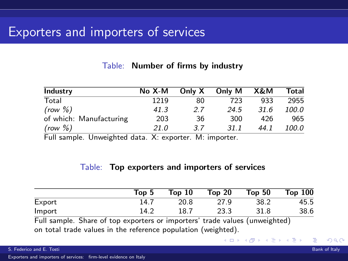### Exporters and importers of services

#### Table: Number of firms by industry

| Industry                | $No X-M$ | Only X | Only M | X&M  | Total |
|-------------------------|----------|--------|--------|------|-------|
| Total                   | 1219     | 80     | 723    | 933  | 2955  |
| (row %)                 | 41.3     | 2.7    | 24.5   | 31.6 | 100.0 |
| of which: Manufacturing | 203      | 36     | 300    | 426  | 965   |
| (row %)                 | 21.0     | 3.7    | 31.1   | 44.1 | 100.0 |

Full sample. Unweighted data. X: exporter. M: importer.

#### Table: Top exporters and importers of services

|        | Top 5 | Top <sub>10</sub> | Top <sub>20</sub> | Top <sub>50</sub> | Top 100 |
|--------|-------|-------------------|-------------------|-------------------|---------|
| Export | 14.7  | 20.8              | 27.9              | 38.2              | 45.5    |
| Import | 14.2  | 18.7              | 23.3              | 31.8              | 38.6    |

4 0 8

Full sample. Share of top exporters or importers' trade values (unweighted) on total trade values in the reference population (weighted).

つひひ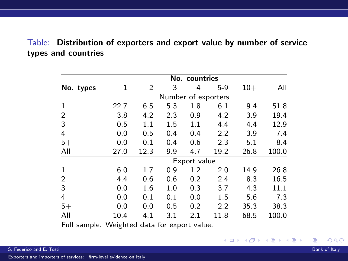#### Table: Distribution of exporters and export value by number of service types and countries

|              |           |      |                     | No. countries |       |       |       |
|--------------|-----------|------|---------------------|---------------|-------|-------|-------|
| No. types    | 1         | 2    | 3                   | 4             | $5-9$ | $10+$ | All   |
|              |           |      | Number of exporters |               |       |       |       |
| $\mathbf{1}$ | 22.7      | 6.5  | 5.3                 | 1.8           | 6.1   | 9.4   | 51.8  |
| 2            | 3.8       | 4.2  | 2.3                 | 0.9           | 4.2   | 3.9   | 19.4  |
| 3            | 0.5       | 1.1  | 1.5                 | 1.1           | 4.4   | 4.4   | 12.9  |
| 4            | 0.0       | 0.5  | 0.4                 | 0.4           | 2.2   | 3.9   | 7.4   |
| $5+$         | 0.0       | 0.1  | 0.4                 | 0.6           | 2.3   | 5.1   | 8.4   |
| All          | 27.0      | 12.3 | 9.9                 | 4.7           | 19.2  | 26.8  | 100.0 |
|              |           |      |                     | Export value  |       |       |       |
| $\mathbf 1$  | 6.0       | 1.7  | 0.9                 | 1.2           | 2.0   | 14.9  | 26.8  |
| 2            | 4.4       | 0.6  | 0.6                 | 0.2           | 2.4   | 8.3   | 16.5  |
| 3            | 0.0       | 1.6  | 1.0                 | 0.3           | 3.7   | 4.3   | 11.1  |
| 4            | 0.0       | 0.1  | 0.1                 | 0.0           | 1.5   | 5.6   | 7.3   |
| $5+$         | 0.0       | 0.0  | 0.5                 | 0.2           | 2.2   | 35.3  | 38.3  |
| All          | 10.4<br>. | 4.1  | 3.1                 | 2.1           | 11.8  | 68.5  | 100.0 |

Full sample. Weighted data for export value.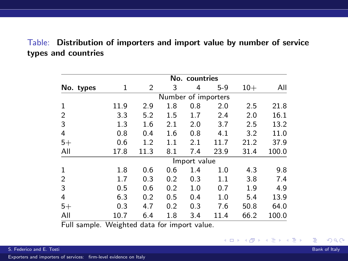#### Table: Distribution of importers and import value by number of service types and countries

| No. countries |           |      |                     |              |       |       |       |  |
|---------------|-----------|------|---------------------|--------------|-------|-------|-------|--|
| No. types     | 1         | 2    | 3                   | 4            | $5-9$ | $10+$ | All   |  |
|               |           |      | Number of importers |              |       |       |       |  |
| $\mathbf{1}$  | 11.9      | 2.9  | 1.8                 | 0.8          | 2.0   | 2.5   | 21.8  |  |
| 2             | 3.3       | 5.2  | 1.5                 | 1.7          | 2.4   | 2.0   | 16.1  |  |
| 3             | 1.3       | 1.6  | 2.1                 | 2.0          | 3.7   | 2.5   | 13.2  |  |
| 4             | 0.8       | 0.4  | 1.6                 | 0.8          | 4.1   | 3.2   | 11.0  |  |
| $5+$          | 0.6       | 1.2  | 1.1                 | 2.1          | 11.7  | 21.2  | 37.9  |  |
| All           | 17.8      | 11.3 | 8.1                 | 7.4          | 23.9  | 31.4  | 100.0 |  |
|               |           |      |                     | Import value |       |       |       |  |
| 1             | 1.8       | 0.6  | 0.6                 | 1.4          | 1.0   | 4.3   | 9.8   |  |
| 2             | 1.7       | 0.3  | 0.2                 | 0.3          | 1.1   | 3.8   | 7.4   |  |
| 3             | 0.5       | 0.6  | 0.2                 | 1.0          | 0.7   | 1.9   | 4.9   |  |
| 4             | 6.3       | 0.2  | 0.5                 | 0.4          | 1.0   | 5.4   | 13.9  |  |
| $5+$          | 0.3       | 4.7  | 0.2                 | 0.3          | 7.6   | 50.8  | 64.0  |  |
| All           | 10.7<br>. | 6.4  | 1.8                 | 3.4          | 11.4  | 66.2  | 100.0 |  |

Full sample. Weighted data for import value.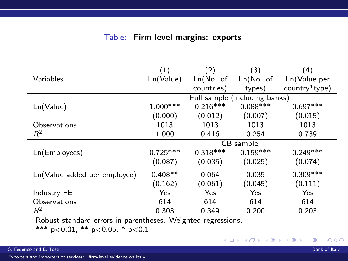#### Table: Firm-level margins: exports

|                              | (1)        | (2)         | (3)                           | $\left( 4\right)$ |
|------------------------------|------------|-------------|-------------------------------|-------------------|
| Variables                    | Ln(Value)  | $Ln(No.$ of | $Ln(No.$ of                   | Ln(Value per      |
|                              |            | countries)  | types)                        | country*type)     |
|                              |            |             | Full sample (including banks) |                   |
| Ln(Value)                    | $1.000***$ | $0.216***$  | $0.088***$                    | $0.697***$        |
|                              | (0.000)    | (0.012)     | (0.007)                       | (0.015)           |
| Observations                 | 1013       | 1013        | 1013                          | 1013              |
| $R^2$                        | 1.000      | 0.416       | 0.254                         | 0.739             |
|                              |            |             | CB sample                     |                   |
| Ln(Employees)                | $0.725***$ | $0.318***$  | $0.159***$                    | $0.249***$        |
|                              | (0.087)    | (0.035)     | (0.025)                       | (0.074)           |
| Ln(Value added per employee) | $0.408**$  | 0.064       | 0.035                         | $0.309***$        |
|                              | (0.162)    | (0.061)     | (0.045)                       | (0.111)           |
| Industry FE                  | Yes        | Yes         | Yes                           | Yes               |
| Observations                 | 614        | 614         | 614                           | 614               |
| $R^2$                        | 0.303      | 0.349       | 0.200                         | 0.203             |

Robust standard errors in parentheses. Weighted regressions.

\*\*\* p<0.01, \*\* p<0.05, \* p<0.1

[Exporters and importers of services: firm-level evidence on Italy](#page-0-0)

э

メロメ メ母メ メミメ メミメ

 $298$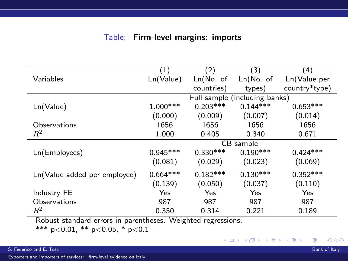#### Table: Firm-level margins: imports

|                              | (1)        | (2)         | (3)                           | (4)           |
|------------------------------|------------|-------------|-------------------------------|---------------|
| Variables                    | Ln(Value)  | $Ln(No.$ of | $Ln(No.$ of                   | Ln(Value per  |
|                              |            | countries)  | types)                        | country*type) |
|                              |            |             | Full sample (including banks) |               |
| Ln(Value)                    | $1.000***$ | $0.203***$  | $0.144***$                    | $0.653***$    |
|                              | (0.000)    | (0.009)     | (0.007)                       | (0.014)       |
| Observations                 | 1656       | 1656        | 1656                          | 1656          |
| $R^2$                        | 1.000      | 0.405       | 0.340                         | 0.671         |
|                              |            |             | CB sample                     |               |
| Ln(Employees)                | $0.945***$ | $0.330***$  | $0.190***$                    | $0.424***$    |
|                              | (0.081)    | (0.029)     | (0.023)                       | (0.069)       |
| Ln(Value added per employee) | $0.664***$ | $0.182***$  | $0.130***$                    | $0.352***$    |
|                              | (0.139)    | (0.050)     | (0.037)                       | (0.110)       |
| Industry FE                  | Yes        | Yes         | Yes                           | Yes           |
| Observations                 | 987        | 987         | 987                           | 987           |
| $\,R^2$                      | 0.350      | 0.314       | 0.221                         | 0.189         |

Robust standard errors in parentheses. Weighted regressions.

\*\*\* p<0.01, \*\* p<0.05, \* p<0.1

[Exporters and importers of services: firm-level evidence on Italy](#page-0-0)

э

メロメ メ母メ メミメ メミメ

 $298$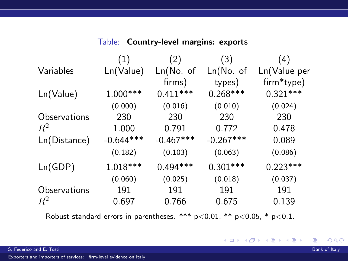|              | (1)         | (2)         | (3)         | (4)          |
|--------------|-------------|-------------|-------------|--------------|
| Variables    | Ln(Value)   | Ln(No. of   | Ln(No. of   | Ln(Value per |
|              |             | firms)      | types)      | firm*type)   |
| Ln(Value)    | $1.000***$  | $0.411***$  | $0.268***$  | $0.321***$   |
|              | (0.000)     | (0.016)     | (0.010)     | (0.024)      |
| Observations | 230         | 230         | 230         | 230          |
| $R^2$        | 1.000       | 0.791       | 0.772       | 0.478        |
| Ln(Distance) | $-0.644***$ | $-0.467***$ | $-0.267***$ | 0.089        |
|              | (0.182)     | (0.103)     | (0.063)     | (0.086)      |
| Ln(GDP)      | $1.018***$  | $0.494***$  | $0.301***$  | $0.223***$   |
|              | (0.060)     | (0.025)     | (0.018)     | (0.037)      |
| Observations | 191         | 191         | 191         | 191          |
| $\,R^2$      | 0.697       | 0.766       | 0.675       | 0.139        |

Table: Country-level margins: exports

Robust standard errors in parentheses. \*\*\*  $p < 0.01$ , \*\*  $p < 0.05$ , \*  $p < 0.1$ .

[Exporters and importers of services: firm-level evidence on Italy](#page-0-0)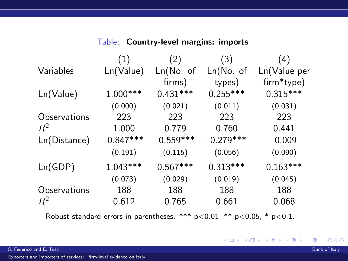|              | (1)         | $\left( 2\right)$ | (3)         | (4)          |
|--------------|-------------|-------------------|-------------|--------------|
| Variables    | Ln(Value)   | Ln(No. of         | Ln(No. of   | Ln(Value per |
|              |             | firms)            | types)      | firm*type)   |
| Ln(Value)    | 1.000***    | $0.431***$        | $0.255***$  | $0.315***$   |
|              | (0.000)     | (0.021)           | (0.011)     | (0.031)      |
| Observations | 223         | 223               | 223         | 223          |
| $R^2$        | 1.000       | 0.779             | 0.760       | 0.441        |
| Ln(Distance) | $-0.847***$ | $-0.559***$       | $-0.279***$ | $-0.009$     |
|              | (0.191)     | (0.115)           | (0.056)     | (0.090)      |
| Ln(GDP)      | $1.043***$  | $0.567***$        | $0.313***$  | $0.163***$   |
|              | (0.073)     | (0.029)           | (0.019)     | (0.045)      |
| Observations | 188         | 188               | 188         | 188          |
| $\,R^2$      | 0.612       | 0.765             | 0.661       | 0.068        |

Table: Country-level margins: imports

Robust standard errors in parentheses. \*\*\*  $p < 0.01$ , \*\*  $p < 0.05$ , \*  $p < 0.1$ .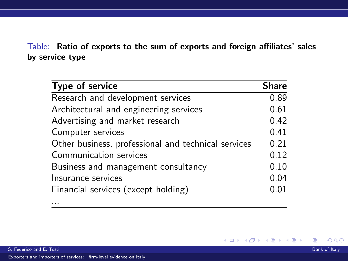#### Table: Ratio of exports to the sum of exports and foreign affiliates' sales by service type

| <b>Type of service</b>                              | <b>Share</b> |
|-----------------------------------------------------|--------------|
| Research and development services                   | 0.89         |
| Architectural and engineering services              | 0.61         |
| Advertising and market research                     | 0.42         |
| Computer services                                   | 0.41         |
| Other business, professional and technical services | 0.21         |
| Communication services                              | 0.12         |
| Business and management consultancy                 | 0.10         |
| Insurance services                                  | 0.04         |
| Financial services (except holding)                 | 0.01         |

...

Þ

 $298$ 

イロト イ部 トイ活 トイ活 トー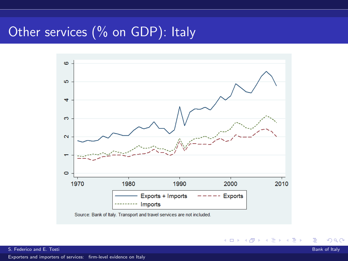## Other services (% on GDP): Italy



 $2Q$ 

∍

メロメ メ都 メメ きょくきょ

[Exporters and importers of services: firm-level evidence on Italy](#page-0-0)